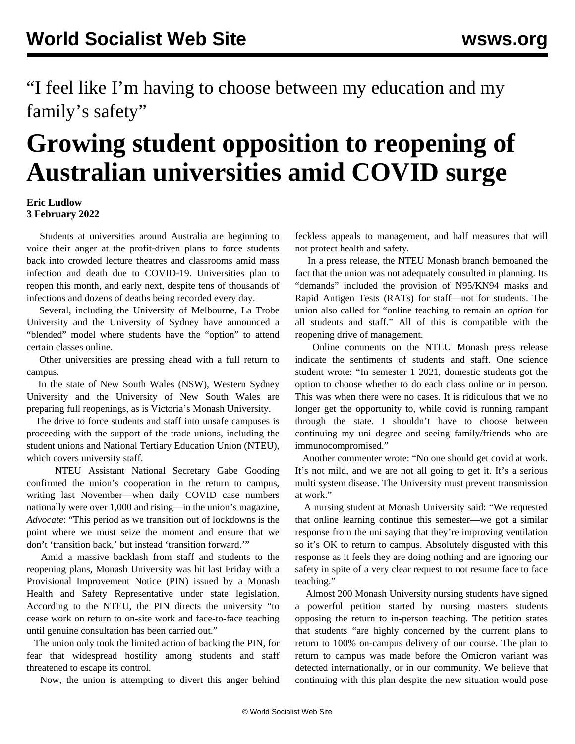"I feel like I'm having to choose between my education and my family's safety"

## **Growing student opposition to reopening of Australian universities amid COVID surge**

## **Eric Ludlow 3 February 2022**

 Students at universities around Australia are beginning to voice their anger at the profit-driven plans to force students back into crowded lecture theatres and classrooms amid mass infection and death due to COVID-19. Universities plan to reopen this month, and early next, despite tens of thousands of infections and dozens of deaths being recorded every day.

 Several, including the University of Melbourne, La Trobe University and the University of Sydney have announced a "blended" model where students have the "option" to attend certain classes online.

 Other universities are pressing ahead with a full return to campus.

 In the state of New South Wales (NSW), Western Sydney University and the University of New South Wales are preparing full reopenings, as is Victoria's Monash University.

 The drive to force students and staff into unsafe campuses is proceeding with the support of the trade unions, including the student unions and National Tertiary Education Union (NTEU), which covers university staff.

 NTEU Assistant National Secretary Gabe Gooding confirmed the union's cooperation in the return to campus, writing last November—when daily COVID case numbers nationally were over 1,000 and rising—in the union's magazine, *Advocate*: "This period as we transition out of lockdowns is the point where we must seize the moment and ensure that we don't 'transition back,' but instead 'transition forward.'"

 Amid a massive backlash from staff and students to the reopening plans, Monash University was hit last Friday with a Provisional Improvement Notice (PIN) issued by a Monash Health and Safety Representative under state legislation. According to the NTEU, the PIN directs the university "to cease work on return to on-site work and face-to-face teaching until genuine consultation has been carried out."

 The union only took the limited action of backing the PIN, for fear that widespread hostility among students and staff threatened to escape its control.

Now, the union is attempting to divert this anger behind

feckless appeals to management, and half measures that will not protect health and safety.

 In a press release, the NTEU Monash branch bemoaned the fact that the union was not adequately consulted in planning. Its "demands" included the provision of N95/KN94 masks and Rapid Antigen Tests (RATs) for staff—not for students. The union also called for "online teaching to remain an *option* for all students and staff." All of this is compatible with the reopening drive of management.

 Online comments on the NTEU Monash press release indicate the sentiments of students and staff. One science student wrote: "In semester 1 2021, domestic students got the option to choose whether to do each class online or in person. This was when there were no cases. It is ridiculous that we no longer get the opportunity to, while covid is running rampant through the state. I shouldn't have to choose between continuing my uni degree and seeing family/friends who are immunocompromised."

 Another commenter wrote: "No one should get covid at work. It's not mild, and we are not all going to get it. It's a serious multi system disease. The University must prevent transmission at work."

 A nursing student at Monash University said: "We requested that online learning continue this semester—we got a similar response from the uni saying that they're improving ventilation so it's OK to return to campus. Absolutely disgusted with this response as it feels they are doing nothing and are ignoring our safety in spite of a very clear request to not resume face to face teaching."

 Almost 200 Monash University nursing students have signed a powerful [petition](https://docs.google.com/forms/d/e/1FAIpQLSfvovvq587ON2s8yhJQS2mPhgXsdhVWmibgJ2XrS4UEh9HoCw/viewform) started by nursing masters students opposing the return to in-person teaching. The petition states that students "are highly concerned by the current plans to return to 100% on-campus delivery of our course. The plan to return to campus was made before the Omicron variant was detected internationally, or in our community. We believe that continuing with this plan despite the new situation would pose